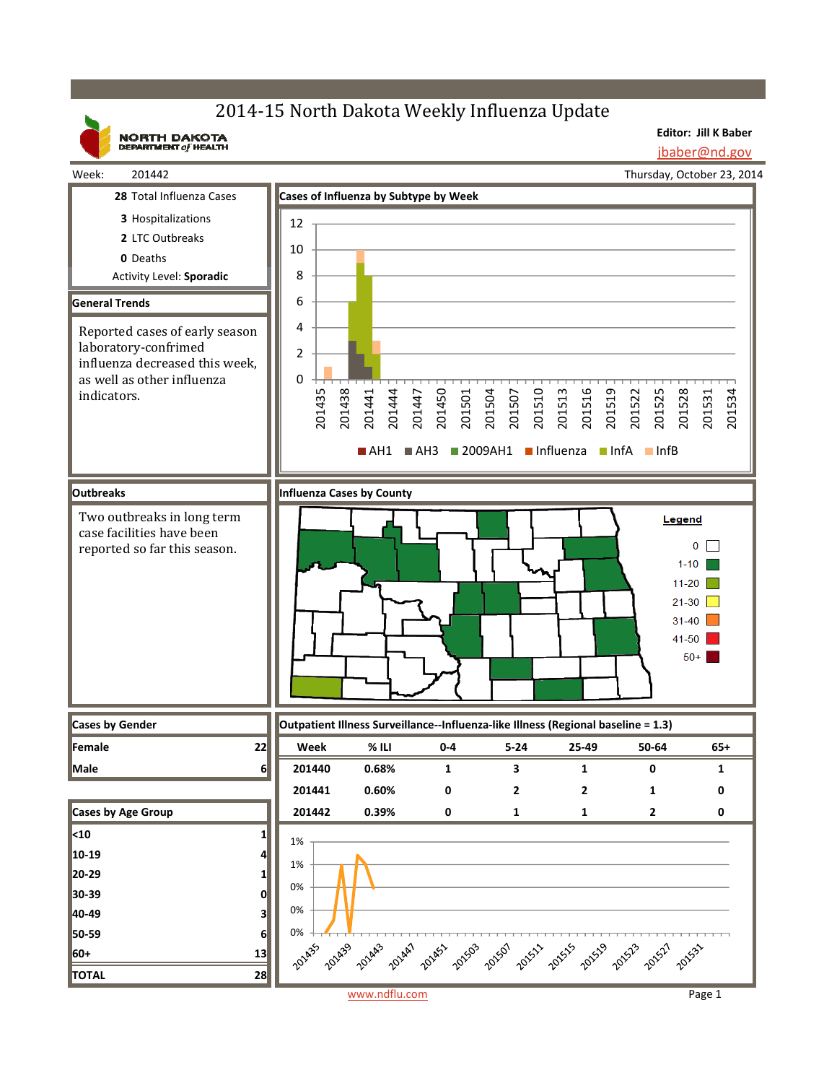# 2014-15 North Dakota Weekly Influenza Update

**NORTH DAKOTA**<br>DEPARTMENT of HEALTH

**Editor: Jill K Baber** jbaber@nd.gov